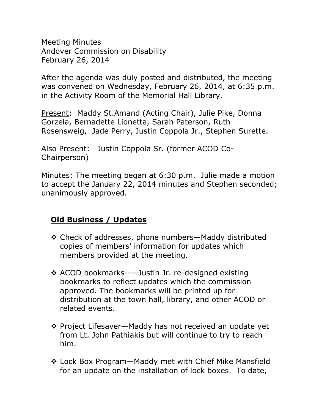Meeting Minutes Andover Commission on Disability February 26, 2014

After the agenda was duly posted and distributed, the meeting was convened on Wednesday, February 26, 2014, at 6:35 p.m. in the Activity Room of the Memorial Hall Library.

Present: Maddy St.Amand (Acting Chair), Julie Pike, Donna Gorzela, Bernadette Lionetta, Sarah Paterson, Ruth Rosensweig, Jade Perry, Justin Coppola Jr., Stephen Surette.

Also Present: Justin Coppola Sr. (former ACOD Co-Chairperson)

Minutes: The meeting began at 6:30 p.m. Julie made a motion to accept the January 22, 2014 minutes and Stephen seconded; unanimously approved.

## **Old Business / Updates**

- Check of addresses, phone numbers—Maddy distributed copies of members' information for updates which members provided at the meeting.
- ACOD bookmarks--—Justin Jr. re-designed existing bookmarks to reflect updates which the commission approved. The bookmarks will be printed up for distribution at the town hall, library, and other ACOD or related events.
- ❖ Project Lifesaver—Maddy has not received an update yet from Lt. John Pathiakis but will continue to try to reach him.
- Lock Box Program—Maddy met with Chief Mike Mansfield for an update on the installation of lock boxes. To date,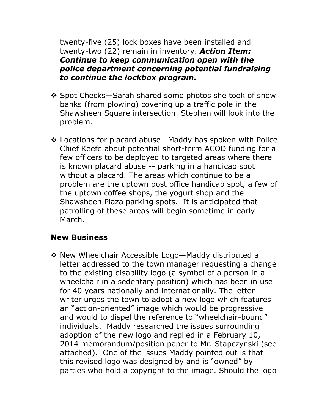twenty-five (25) lock boxes have been installed and twenty-two (22) remain in inventory. *Action Item: Continue to keep communication open with the police department concerning potential fundraising to continue the lockbox program.*

- ❖ Spot Checks–Sarah shared some photos she took of snow banks (from plowing) covering up a traffic pole in the Shawsheen Square intersection. Stephen will look into the problem.
- \* Locations for placard abuse—Maddy has spoken with Police Chief Keefe about potential short-term ACOD funding for a few officers to be deployed to targeted areas where there is known placard abuse -- parking in a handicap spot without a placard. The areas which continue to be a problem are the uptown post office handicap spot, a few of the uptown coffee shops, the yogurt shop and the Shawsheen Plaza parking spots. It is anticipated that patrolling of these areas will begin sometime in early March.

## **New Business**

\* New Wheelchair Accessible Logo-Maddy distributed a letter addressed to the town manager requesting a change to the existing disability logo (a symbol of a person in a wheelchair in a sedentary position) which has been in use for 40 years nationally and internationally. The letter writer urges the town to adopt a new logo which features an "action-oriented" image which would be progressive and would to dispel the reference to "wheelchair-bound" individuals. Maddy researched the issues surrounding adoption of the new logo and replied in a February 10, 2014 memorandum/position paper to Mr. Stapczynski (see attached). One of the issues Maddy pointed out is that this revised logo was designed by and is "owned" by parties who hold a copyright to the image. Should the logo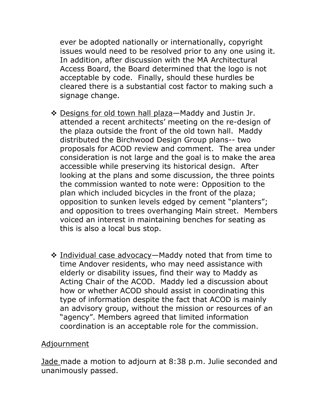ever be adopted nationally or internationally, copyright issues would need to be resolved prior to any one using it. In addition, after discussion with the MA Architectural Access Board, the Board determined that the logo is not acceptable by code. Finally, should these hurdles be cleared there is a substantial cost factor to making such a signage change.

- $\cdot$  Designs for old town hall plaza—Maddy and Justin Jr. attended a recent architects' meeting on the re-design of the plaza outside the front of the old town hall. Maddy distributed the Birchwood Design Group plans-- two proposals for ACOD review and comment. The area under consideration is not large and the goal is to make the area accessible while preserving its historical design. After looking at the plans and some discussion, the three points the commission wanted to note were: Opposition to the plan which included bicycles in the front of the plaza; opposition to sunken levels edged by cement "planters"; and opposition to trees overhanging Main street. Members voiced an interest in maintaining benches for seating as this is also a local bus stop.
- Individual case advocacy—Maddy noted that from time to time Andover residents, who may need assistance with elderly or disability issues, find their way to Maddy as Acting Chair of the ACOD. Maddy led a discussion about how or whether ACOD should assist in coordinating this type of information despite the fact that ACOD is mainly an advisory group, without the mission or resources of an "agency". Members agreed that limited information coordination is an acceptable role for the commission.

## Adjournment

Jade made a motion to adjourn at 8:38 p.m. Julie seconded and unanimously passed.